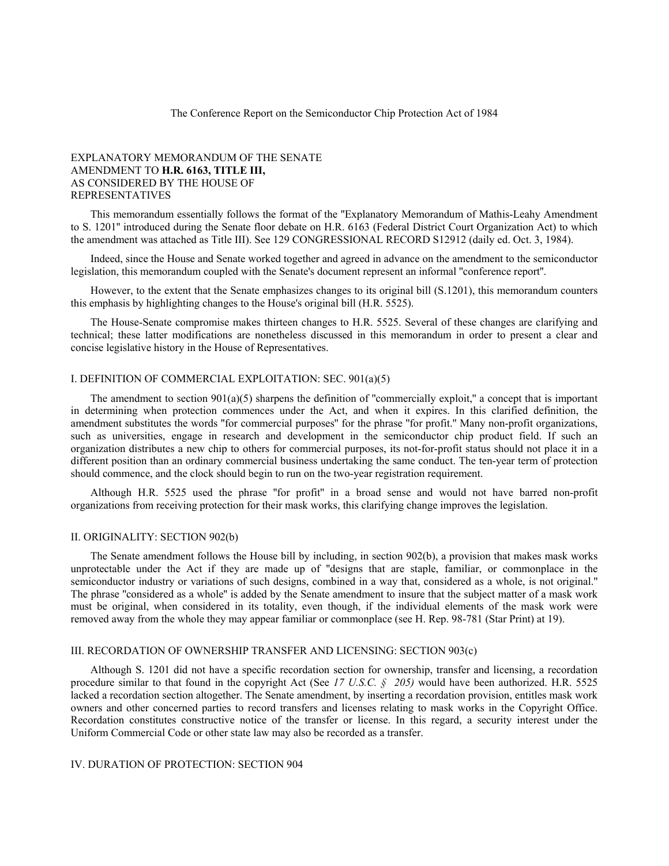The Conference Report on the Semiconductor Chip Protection Act of 1984

## EXPLANATORY MEMORANDUM OF THE SENATE AMENDMENT TO **H.R. 6163, TITLE III,** AS CONSIDERED BY THE HOUSE OF REPRESENTATIVES

This memorandum essentially follows the format of the ''Explanatory Memorandum of Mathis-Leahy Amendment to S. 1201'' introduced during the Senate floor debate on H.R. 6163 (Federal District Court Organization Act) to which the amendment was attached as Title III). See 129 CONGRESSIONAL RECORD S12912 (daily ed. Oct. 3, 1984).

Indeed, since the House and Senate worked together and agreed in advance on the amendment to the semiconductor legislation, this memorandum coupled with the Senate's document represent an informal ''conference report''.

However, to the extent that the Senate emphasizes changes to its original bill (S.1201), this memorandum counters this emphasis by highlighting changes to the House's original bill (H.R. 5525).

The House-Senate compromise makes thirteen changes to H.R. 5525. Several of these changes are clarifying and technical; these latter modifications are nonetheless discussed in this memorandum in order to present a clear and concise legislative history in the House of Representatives.

# I. DEFINITION OF COMMERCIAL EXPLOITATION: SEC. 901(a)(5)

The amendment to section  $901(a)(5)$  sharpens the definition of "commercially exploit," a concept that is important in determining when protection commences under the Act, and when it expires. In this clarified definition, the amendment substitutes the words ''for commercial purposes'' for the phrase ''for profit.'' Many non-profit organizations, such as universities, engage in research and development in the semiconductor chip product field. If such an organization distributes a new chip to others for commercial purposes, its not-for-profit status should not place it in a different position than an ordinary commercial business undertaking the same conduct. The ten-year term of protection should commence, and the clock should begin to run on the two-year registration requirement.

Although H.R. 5525 used the phrase ''for profit'' in a broad sense and would not have barred non-profit organizations from receiving protection for their mask works, this clarifying change improves the legislation.

#### II. ORIGINALITY: SECTION 902(b)

The Senate amendment follows the House bill by including, in section 902(b), a provision that makes mask works unprotectable under the Act if they are made up of ''designs that are staple, familiar, or commonplace in the semiconductor industry or variations of such designs, combined in a way that, considered as a whole, is not original.'' The phrase ''considered as a whole'' is added by the Senate amendment to insure that the subject matter of a mask work must be original, when considered in its totality, even though, if the individual elements of the mask work were removed away from the whole they may appear familiar or commonplace (see H. Rep. 98-781 (Star Print) at 19).

### III. RECORDATION OF OWNERSHIP TRANSFER AND LICENSING: SECTION 903(c)

Although S. 1201 did not have a specific recordation section for ownership, transfer and licensing, a recordation procedure similar to that found in the copyright Act (See *17 U.S.C. § 205)* would have been authorized. H.R. 5525 lacked a recordation section altogether. The Senate amendment, by inserting a recordation provision, entitles mask work owners and other concerned parties to record transfers and licenses relating to mask works in the Copyright Office. Recordation constitutes constructive notice of the transfer or license. In this regard, a security interest under the Uniform Commercial Code or other state law may also be recorded as a transfer.

## IV. DURATION OF PROTECTION: SECTION 904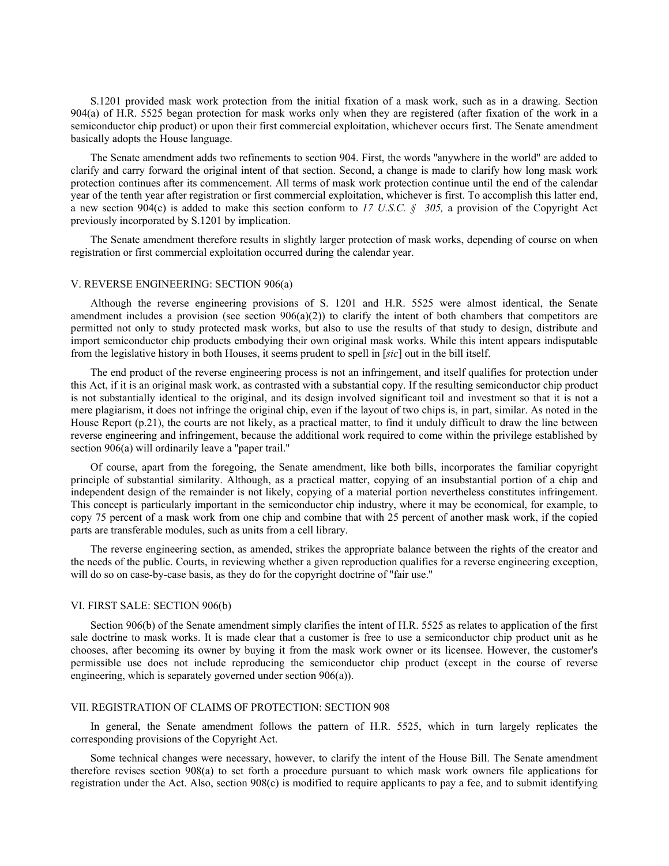S.1201 provided mask work protection from the initial fixation of a mask work, such as in a drawing. Section 904(a) of H.R. 5525 began protection for mask works only when they are registered (after fixation of the work in a semiconductor chip product) or upon their first commercial exploitation, whichever occurs first. The Senate amendment basically adopts the House language.

The Senate amendment adds two refinements to section 904. First, the words ''anywhere in the world'' are added to clarify and carry forward the original intent of that section. Second, a change is made to clarify how long mask work protection continues after its commencement. All terms of mask work protection continue until the end of the calendar year of the tenth year after registration or first commercial exploitation, whichever is first. To accomplish this latter end, a new section 904(c) is added to make this section conform to *17 U.S.C. § 305,* a provision of the Copyright Act previously incorporated by S.1201 by implication.

The Senate amendment therefore results in slightly larger protection of mask works, depending of course on when registration or first commercial exploitation occurred during the calendar year.

### V. REVERSE ENGINEERING: SECTION 906(a)

Although the reverse engineering provisions of S. 1201 and H.R. 5525 were almost identical, the Senate amendment includes a provision (see section  $906(a)(2)$ ) to clarify the intent of both chambers that competitors are permitted not only to study protected mask works, but also to use the results of that study to design, distribute and import semiconductor chip products embodying their own original mask works. While this intent appears indisputable from the legislative history in both Houses, it seems prudent to spell in [*sic*] out in the bill itself.

The end product of the reverse engineering process is not an infringement, and itself qualifies for protection under this Act, if it is an original mask work, as contrasted with a substantial copy. If the resulting semiconductor chip product is not substantially identical to the original, and its design involved significant toil and investment so that it is not a mere plagiarism, it does not infringe the original chip, even if the layout of two chips is, in part, similar. As noted in the House Report (p.21), the courts are not likely, as a practical matter, to find it unduly difficult to draw the line between reverse engineering and infringement, because the additional work required to come within the privilege established by section 906(a) will ordinarily leave a "paper trail."

Of course, apart from the foregoing, the Senate amendment, like both bills, incorporates the familiar copyright principle of substantial similarity. Although, as a practical matter, copying of an insubstantial portion of a chip and independent design of the remainder is not likely, copying of a material portion nevertheless constitutes infringement. This concept is particularly important in the semiconductor chip industry, where it may be economical, for example, to copy 75 percent of a mask work from one chip and combine that with 25 percent of another mask work, if the copied parts are transferable modules, such as units from a cell library.

The reverse engineering section, as amended, strikes the appropriate balance between the rights of the creator and the needs of the public. Courts, in reviewing whether a given reproduction qualifies for a reverse engineering exception, will do so on case-by-case basis, as they do for the copyright doctrine of "fair use."

#### VI. FIRST SALE: SECTION 906(b)

Section 906(b) of the Senate amendment simply clarifies the intent of H.R. 5525 as relates to application of the first sale doctrine to mask works. It is made clear that a customer is free to use a semiconductor chip product unit as he chooses, after becoming its owner by buying it from the mask work owner or its licensee. However, the customer's permissible use does not include reproducing the semiconductor chip product (except in the course of reverse engineering, which is separately governed under section 906(a)).

#### VII. REGISTRATION OF CLAIMS OF PROTECTION: SECTION 908

In general, the Senate amendment follows the pattern of H.R. 5525, which in turn largely replicates the corresponding provisions of the Copyright Act.

Some technical changes were necessary, however, to clarify the intent of the House Bill. The Senate amendment therefore revises section 908(a) to set forth a procedure pursuant to which mask work owners file applications for registration under the Act. Also, section 908(c) is modified to require applicants to pay a fee, and to submit identifying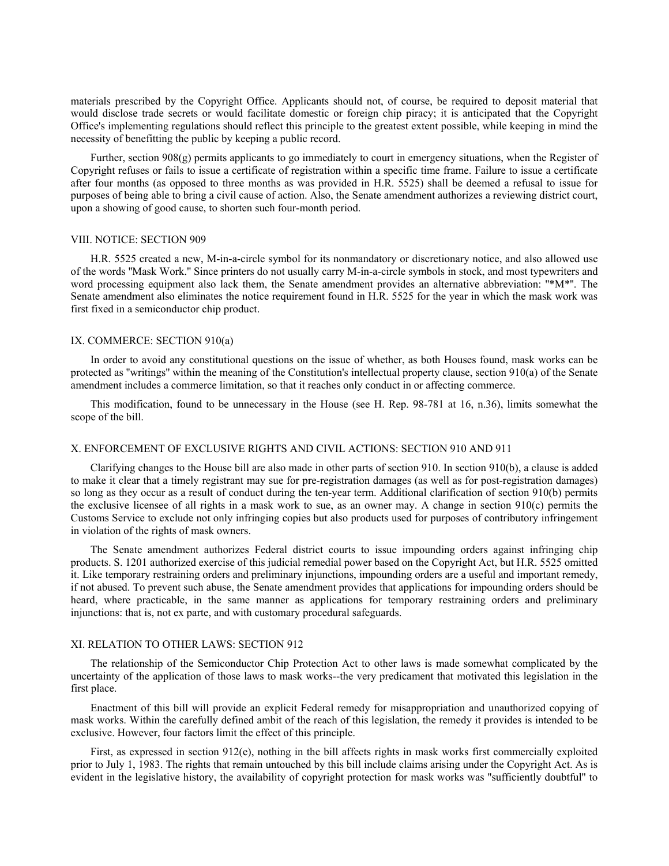materials prescribed by the Copyright Office. Applicants should not, of course, be required to deposit material that would disclose trade secrets or would facilitate domestic or foreign chip piracy; it is anticipated that the Copyright Office's implementing regulations should reflect this principle to the greatest extent possible, while keeping in mind the necessity of benefitting the public by keeping a public record.

Further, section 908(g) permits applicants to go immediately to court in emergency situations, when the Register of Copyright refuses or fails to issue a certificate of registration within a specific time frame. Failure to issue a certificate after four months (as opposed to three months as was provided in H.R. 5525) shall be deemed a refusal to issue for purposes of being able to bring a civil cause of action. Also, the Senate amendment authorizes a reviewing district court, upon a showing of good cause, to shorten such four-month period.

### VIII. NOTICE: SECTION 909

H.R. 5525 created a new, M-in-a-circle symbol for its nonmandatory or discretionary notice, and also allowed use of the words ''Mask Work.'' Since printers do not usually carry M-in-a-circle symbols in stock, and most typewriters and word processing equipment also lack them, the Senate amendment provides an alternative abbreviation: "\*M\*". The Senate amendment also eliminates the notice requirement found in H.R. 5525 for the year in which the mask work was first fixed in a semiconductor chip product.

#### IX. COMMERCE: SECTION 910(a)

In order to avoid any constitutional questions on the issue of whether, as both Houses found, mask works can be protected as ''writings'' within the meaning of the Constitution's intellectual property clause, section 910(a) of the Senate amendment includes a commerce limitation, so that it reaches only conduct in or affecting commerce.

This modification, found to be unnecessary in the House (see H. Rep. 98-781 at 16, n.36), limits somewhat the scope of the bill.

# X. ENFORCEMENT OF EXCLUSIVE RIGHTS AND CIVIL ACTIONS: SECTION 910 AND 911

Clarifying changes to the House bill are also made in other parts of section 910. In section 910(b), a clause is added to make it clear that a timely registrant may sue for pre-registration damages (as well as for post-registration damages) so long as they occur as a result of conduct during the ten-year term. Additional clarification of section 910(b) permits the exclusive licensee of all rights in a mask work to sue, as an owner may. A change in section 910(c) permits the Customs Service to exclude not only infringing copies but also products used for purposes of contributory infringement in violation of the rights of mask owners.

The Senate amendment authorizes Federal district courts to issue impounding orders against infringing chip products. S. 1201 authorized exercise of this judicial remedial power based on the Copyright Act, but H.R. 5525 omitted it. Like temporary restraining orders and preliminary injunctions, impounding orders are a useful and important remedy, if not abused. To prevent such abuse, the Senate amendment provides that applications for impounding orders should be heard, where practicable, in the same manner as applications for temporary restraining orders and preliminary injunctions: that is, not ex parte, and with customary procedural safeguards.

## XI. RELATION TO OTHER LAWS: SECTION 912

The relationship of the Semiconductor Chip Protection Act to other laws is made somewhat complicated by the uncertainty of the application of those laws to mask works--the very predicament that motivated this legislation in the first place.

Enactment of this bill will provide an explicit Federal remedy for misappropriation and unauthorized copying of mask works. Within the carefully defined ambit of the reach of this legislation, the remedy it provides is intended to be exclusive. However, four factors limit the effect of this principle.

First, as expressed in section 912(e), nothing in the bill affects rights in mask works first commercially exploited prior to July 1, 1983. The rights that remain untouched by this bill include claims arising under the Copyright Act. As is evident in the legislative history, the availability of copyright protection for mask works was ''sufficiently doubtful'' to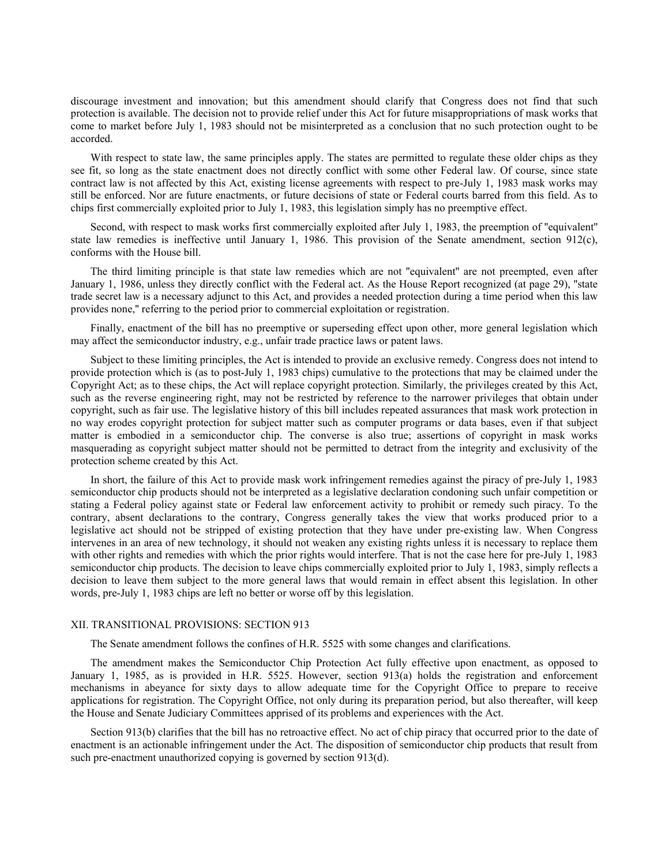discourage investment and innovation; but this amendment should clarify that Congress does not find that such protection is available. The decision not to provide relief under this Act for future misappropriations of mask works that come to market before July 1, 1983 should not be misinterpreted as a conclusion that no such protection ought to be accorded.

With respect to state law, the same principles apply. The states are permitted to regulate these older chips as they see fit, so long as the state enactment does not directly conflict with some other Federal law. Of course, since state contract law is not affected by this Act, existing license agreements with respect to pre-July 1, 1983 mask works may still be enforced. Nor are future enactments, or future decisions of state or Federal courts barred from this field. As to chips first commercially exploited prior to July 1, 1983, this legislation simply has no preemptive effect.

Second, with respect to mask works first commercially exploited after July 1, 1983, the preemption of ''equivalent'' state law remedies is ineffective until January 1, 1986. This provision of the Senate amendment, section 912(c), conforms with the House bill.

The third limiting principle is that state law remedies which are not ''equivalent'' are not preempted, even after January 1, 1986, unless they directly conflict with the Federal act. As the House Report recognized (at page 29), ''state trade secret law is a necessary adjunct to this Act, and provides a needed protection during a time period when this law provides none,'' referring to the period prior to commercial exploitation or registration.

Finally, enactment of the bill has no preemptive or superseding effect upon other, more general legislation which may affect the semiconductor industry, e.g., unfair trade practice laws or patent laws.

Subject to these limiting principles, the Act is intended to provide an exclusive remedy. Congress does not intend to provide protection which is (as to post-July 1, 1983 chips) cumulative to the protections that may be claimed under the Copyright Act; as to these chips, the Act will replace copyright protection. Similarly, the privileges created by this Act, such as the reverse engineering right, may not be restricted by reference to the narrower privileges that obtain under copyright, such as fair use. The legislative history of this bill includes repeated assurances that mask work protection in no way erodes copyright protection for subject matter such as computer programs or data bases, even if that subject matter is embodied in a semiconductor chip. The converse is also true; assertions of copyright in mask works masquerading as copyright subject matter should not be permitted to detract from the integrity and exclusivity of the protection scheme created by this Act.

In short, the failure of this Act to provide mask work infringement remedies against the piracy of pre-July 1, 1983 semiconductor chip products should not be interpreted as a legislative declaration condoning such unfair competition or stating a Federal policy against state or Federal law enforcement activity to prohibit or remedy such piracy. To the contrary, absent declarations to the contrary, Congress generally takes the view that works produced prior to a legislative act should not be stripped of existing protection that they have under pre-existing law. When Congress intervenes in an area of new technology, it should not weaken any existing rights unless it is necessary to replace them with other rights and remedies with which the prior rights would interfere. That is not the case here for pre-July 1, 1983 semiconductor chip products. The decision to leave chips commercially exploited prior to July 1, 1983, simply reflects a decision to leave them subject to the more general laws that would remain in effect absent this legislation. In other words, pre-July 1, 1983 chips are left no better or worse off by this legislation.

## XII. TRANSITIONAL PROVISIONS: SECTION 913

The Senate amendment follows the confines of H.R. 5525 with some changes and clarifications.

The amendment makes the Semiconductor Chip Protection Act fully effective upon enactment, as opposed to January 1, 1985, as is provided in H.R. 5525. However, section 913(a) holds the registration and enforcement mechanisms in abeyance for sixty days to allow adequate time for the Copyright Office to prepare to receive applications for registration. The Copyright Office, not only during its preparation period, but also thereafter, will keep the House and Senate Judiciary Committees apprised of its problems and experiences with the Act.

Section 913(b) clarifies that the bill has no retroactive effect. No act of chip piracy that occurred prior to the date of enactment is an actionable infringement under the Act. The disposition of semiconductor chip products that result from such pre-enactment unauthorized copying is governed by section 913(d).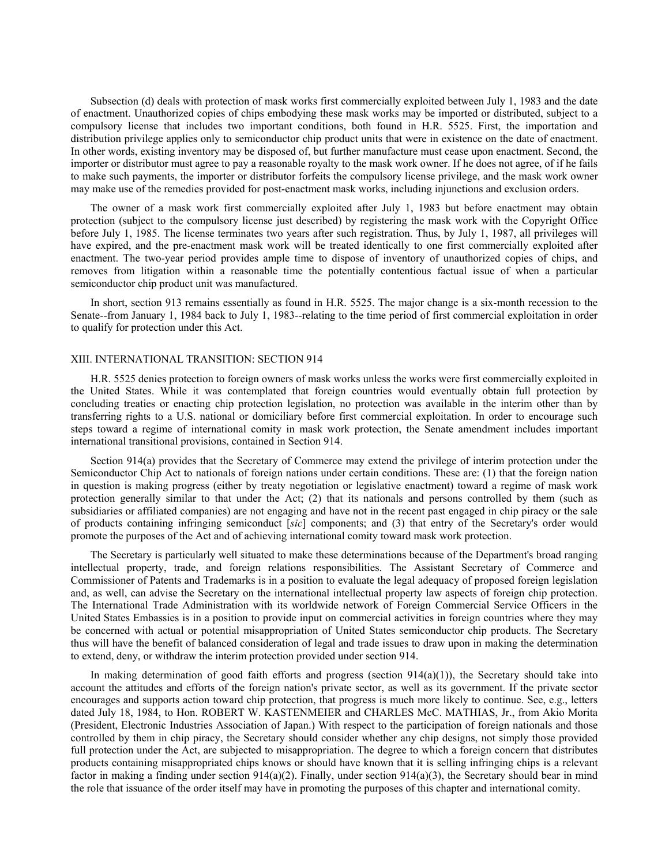Subsection (d) deals with protection of mask works first commercially exploited between July 1, 1983 and the date of enactment. Unauthorized copies of chips embodying these mask works may be imported or distributed, subject to a compulsory license that includes two important conditions, both found in H.R. 5525. First, the importation and distribution privilege applies only to semiconductor chip product units that were in existence on the date of enactment. In other words, existing inventory may be disposed of, but further manufacture must cease upon enactment. Second, the importer or distributor must agree to pay a reasonable royalty to the mask work owner. If he does not agree, of if he fails to make such payments, the importer or distributor forfeits the compulsory license privilege, and the mask work owner may make use of the remedies provided for post-enactment mask works, including injunctions and exclusion orders.

The owner of a mask work first commercially exploited after July 1, 1983 but before enactment may obtain protection (subject to the compulsory license just described) by registering the mask work with the Copyright Office before July 1, 1985. The license terminates two years after such registration. Thus, by July 1, 1987, all privileges will have expired, and the pre-enactment mask work will be treated identically to one first commercially exploited after enactment. The two-year period provides ample time to dispose of inventory of unauthorized copies of chips, and removes from litigation within a reasonable time the potentially contentious factual issue of when a particular semiconductor chip product unit was manufactured.

In short, section 913 remains essentially as found in H.R. 5525. The major change is a six-month recession to the Senate--from January 1, 1984 back to July 1, 1983--relating to the time period of first commercial exploitation in order to qualify for protection under this Act.

## XIII. INTERNATIONAL TRANSITION: SECTION 914

H.R. 5525 denies protection to foreign owners of mask works unless the works were first commercially exploited in the United States. While it was contemplated that foreign countries would eventually obtain full protection by concluding treaties or enacting chip protection legislation, no protection was available in the interim other than by transferring rights to a U.S. national or domiciliary before first commercial exploitation. In order to encourage such steps toward a regime of international comity in mask work protection, the Senate amendment includes important international transitional provisions, contained in Section 914.

Section 914(a) provides that the Secretary of Commerce may extend the privilege of interim protection under the Semiconductor Chip Act to nationals of foreign nations under certain conditions. These are: (1) that the foreign nation in question is making progress (either by treaty negotiation or legislative enactment) toward a regime of mask work protection generally similar to that under the Act; (2) that its nationals and persons controlled by them (such as subsidiaries or affiliated companies) are not engaging and have not in the recent past engaged in chip piracy or the sale of products containing infringing semiconduct [*sic*] components; and (3) that entry of the Secretary's order would promote the purposes of the Act and of achieving international comity toward mask work protection.

The Secretary is particularly well situated to make these determinations because of the Department's broad ranging intellectual property, trade, and foreign relations responsibilities. The Assistant Secretary of Commerce and Commissioner of Patents and Trademarks is in a position to evaluate the legal adequacy of proposed foreign legislation and, as well, can advise the Secretary on the international intellectual property law aspects of foreign chip protection. The International Trade Administration with its worldwide network of Foreign Commercial Service Officers in the United States Embassies is in a position to provide input on commercial activities in foreign countries where they may be concerned with actual or potential misappropriation of United States semiconductor chip products. The Secretary thus will have the benefit of balanced consideration of legal and trade issues to draw upon in making the determination to extend, deny, or withdraw the interim protection provided under section 914.

In making determination of good faith efforts and progress (section 914(a)(1)), the Secretary should take into account the attitudes and efforts of the foreign nation's private sector, as well as its government. If the private sector encourages and supports action toward chip protection, that progress is much more likely to continue. See, e.g., letters dated July 18, 1984, to Hon. ROBERT W. KASTENMEIER and CHARLES McC. MATHIAS, Jr., from Akio Morita (President, Electronic Industries Association of Japan.) With respect to the participation of foreign nationals and those controlled by them in chip piracy, the Secretary should consider whether any chip designs, not simply those provided full protection under the Act, are subjected to misappropriation. The degree to which a foreign concern that distributes products containing misappropriated chips knows or should have known that it is selling infringing chips is a relevant factor in making a finding under section 914(a)(2). Finally, under section 914(a)(3), the Secretary should bear in mind the role that issuance of the order itself may have in promoting the purposes of this chapter and international comity.